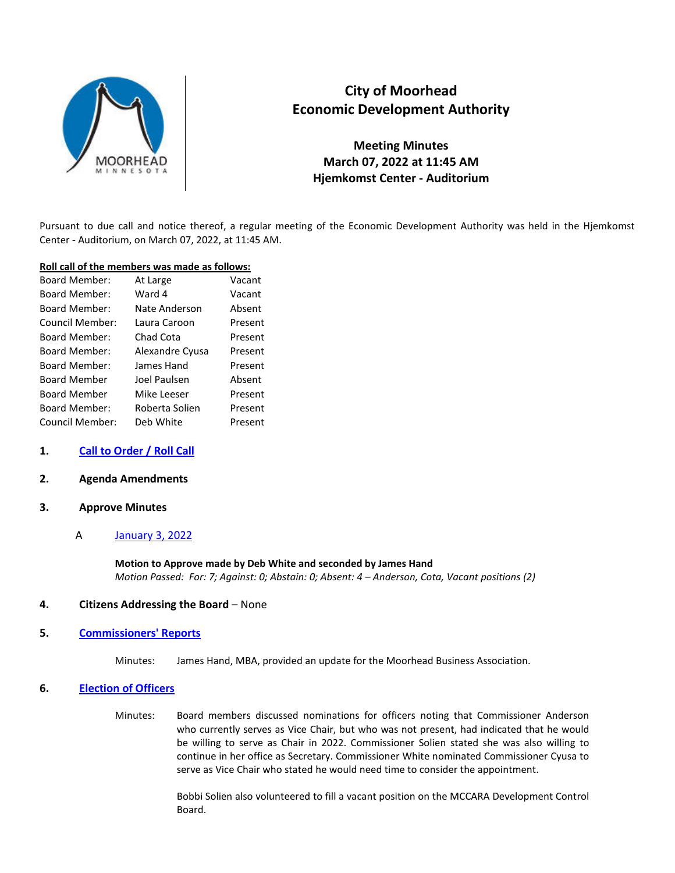

# **City of Moorhead Economic Development Authority**

**Meeting Minutes March 07, 2022 at 11:45 AM Hjemkomst Center - Auditorium** 

Pursuant to due call and notice thereof, a regular meeting of the Economic Development Authority was held in the Hjemkomst Center - Auditorium, on March 07, 2022, at 11:45 AM.

#### **Roll call of the members was made as follows:**

| <b>Board Member:</b> | At Large        | Vacant  |
|----------------------|-----------------|---------|
| <b>Board Member:</b> | Ward 4          | Vacant  |
| <b>Board Member:</b> | Nate Anderson   | Absent  |
| Council Member:      | Laura Caroon    | Present |
| <b>Board Member:</b> | Chad Cota       | Present |
| <b>Board Member:</b> | Alexandre Cyusa | Present |
| <b>Board Member:</b> | James Hand      | Present |
| <b>Board Member</b>  | Joel Paulsen    | Absent  |
| <b>Board Member</b>  | Mike Leeser     | Present |
| <b>Board Member:</b> | Roberta Solien  | Present |
| Council Member:      | Deb White       | Present |

# **1. Call to Order / Roll Call**

# **2. Agenda Amendments**

# **3. Approve Minutes**

# A January 3, 2022

**Motion to Approve made by Deb White and seconded by James Hand**  *Motion Passed: For: 7; Against: 0; Abstain: 0; Absent: 4 – Anderson, Cota, Vacant positions (2)* 

# **4. Citizens Addressing the Board** – None

# **5. Commissioners' Reports**

Minutes: James Hand, MBA, provided an update for the Moorhead Business Association.

# **6. Election of Officers**

Minutes: Board members discussed nominations for officers noting that Commissioner Anderson who currently serves as Vice Chair, but who was not present, had indicated that he would be willing to serve as Chair in 2022. Commissioner Solien stated she was also willing to continue in her office as Secretary. Commissioner White nominated Commissioner Cyusa to serve as Vice Chair who stated he would need time to consider the appointment.

> Bobbi Solien also volunteered to fill a vacant position on the MCCARA Development Control Board.